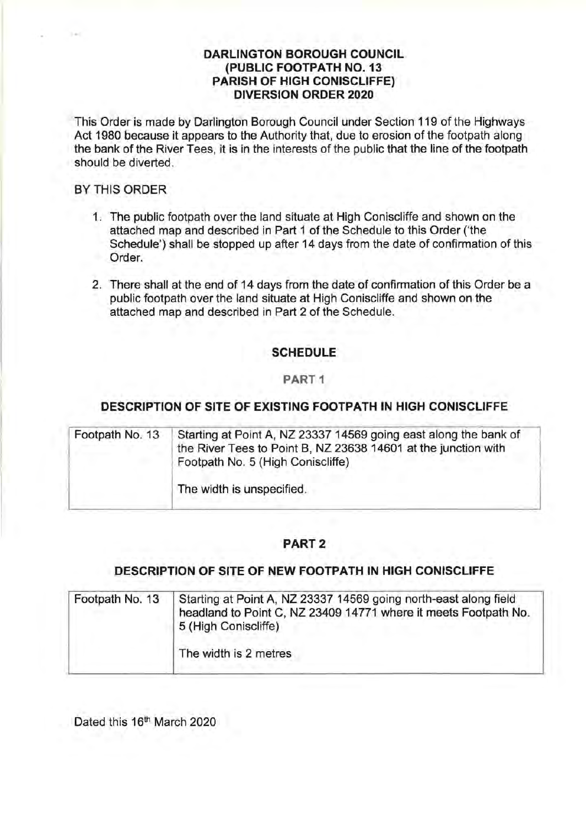## **DARLINGTON BOROUGH COUNCIL (PUBLIC FOOTPATH NO. 13 PARISH OF HIGH CONISCLIFFE) DIVERSION ORDER 2020**

This Order is made by Darlington Borough Council under Section 119 of the Highways Act 1980 because it appears to the Authority that, due to erosion of the footpath along the bank of the River Tees, it is in the interests of the public that the line of the footpath should be diverted.

#### BY THIS ORDER

- 1. The public footpath over the land situate at High Coniscliffe and shown on the attached map and described in Part 1 of the Schedule to this Order ('the Schedule') shall be stopped up after 14 days from the date of confirmation of this Order.
- 2. There shall at the end of 14 days from the date of confirmation of this Order be a public footpath over the land situate at High Coniscliffe and shown on the attached map and described in Part 2 of the Schedule.

# **SCHEDULE**

### **PART 1**

## **DESCRIPTION OF SITE OF EXISTING FOOTPATH IN HIGH CONISCLIFFE**

| Footpath No. 13 | Starting at Point A, NZ 23337 14569 going east along the bank of<br>the River Tees to Point B, NZ 23638 14601 at the junction with<br>Footpath No. 5 (High Coniscliffe) |
|-----------------|-------------------------------------------------------------------------------------------------------------------------------------------------------------------------|
|                 | The width is unspecified.                                                                                                                                               |

## **PART2**

#### **DESCRIPTION OF SITE OF NEW FOOTPATH IN HIGH CONISCLIFFE**

| Footpath No. 13 | Starting at Point A, NZ 23337 14569 going north-east along field<br>headland to Point C, NZ 23409 14771 where it meets Footpath No.<br>5 (High Coniscliffe) |  |
|-----------------|-------------------------------------------------------------------------------------------------------------------------------------------------------------|--|
|                 | The width is 2 metres                                                                                                                                       |  |

Dated this 16<sup>th</sup> March 2020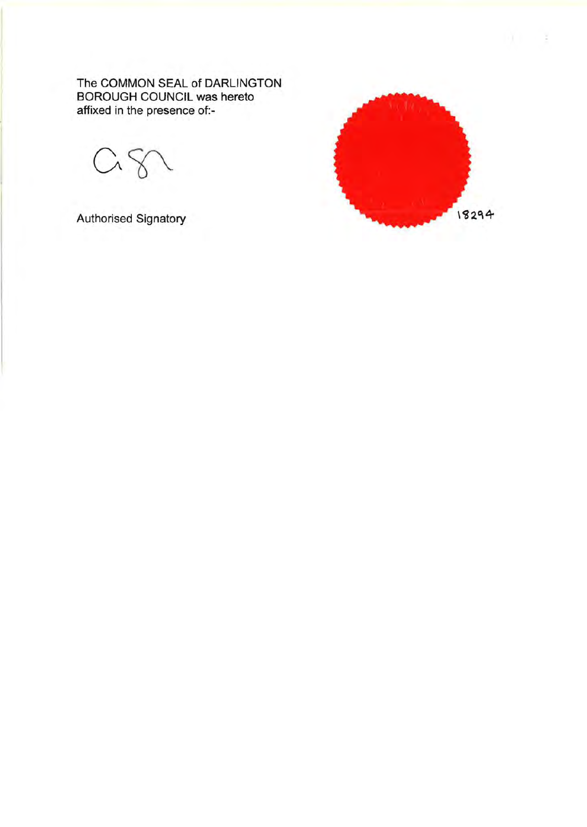The COMMON SEAL of DARLINGTON BOROUGH COUNCIL was hereto affixed in the presence of:-

Authorised Signatory

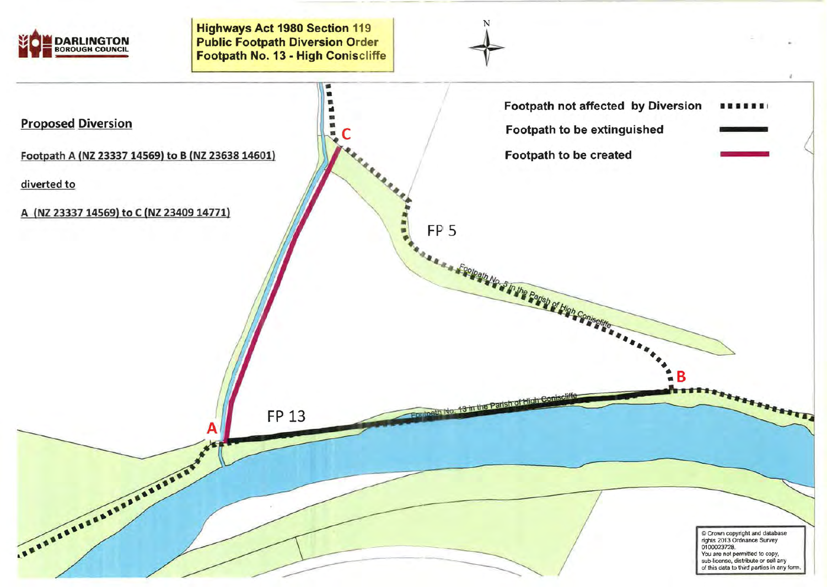

Highways Act 1980 Section 119 **DARLINGTON Public Footpath Diversion Order Inc. 13 - High Coniscliffe** 



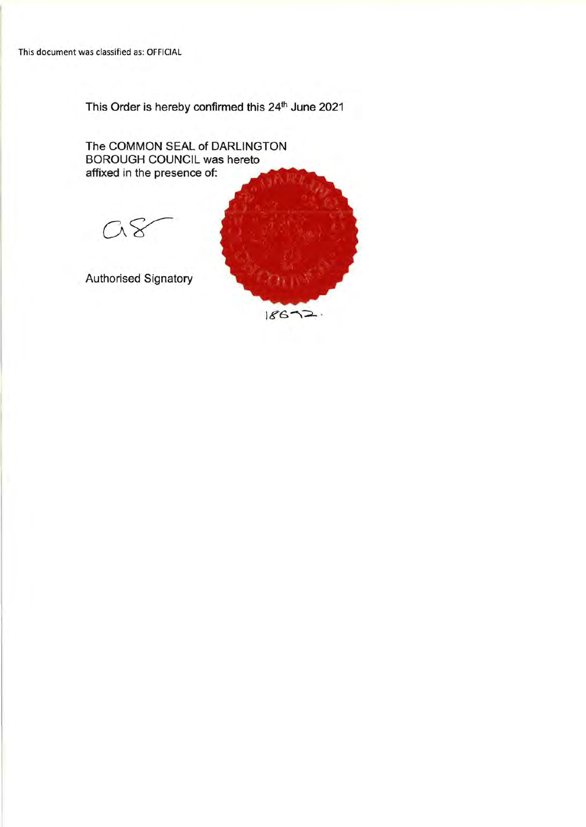This Order is hereby confirmed this 24<sup>th</sup> June 2021

The COMMON SEAL of DARLINGTON BOROUGH COUNCIL was hereto affixed in the presence of:  $\alpha$ Authorised Signatory

 $18672$